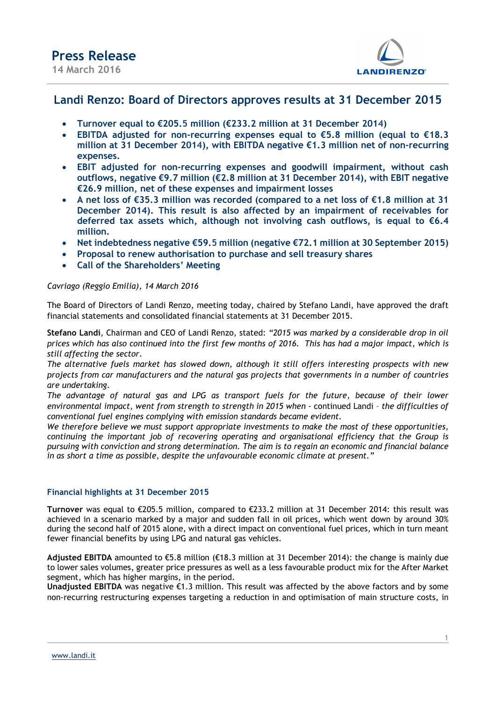

### Landi Renzo: Board of Directors approves results at 31 December 2015

- Turnover equal to €205.5 million (€233.2 million at 31 December 2014)
- EBITDA adjusted for non-recurring expenses equal to  $€5.8$  million (equal to  $€18.3$ million at 31 December 2014), with EBITDA negative  $\epsilon$ 1.3 million net of non-recurring expenses.
- EBIT adjusted for non-recurring expenses and goodwill impairment, without cash outflows, negative €9.7 million (€2.8 million at 31 December 2014), with EBIT negative €26.9 million, net of these expenses and impairment losses
- A net loss of €35.3 million was recorded (compared to a net loss of €1.8 million at 31 December 2014). This result is also affected by an impairment of receivables for deferred tax assets which, although not involving cash outflows, is equal to  $€6.4$ million.
- Net indebtedness negative €59.5 million (negative €72.1 million at 30 September 2015)
- Proposal to renew authorisation to purchase and sell treasury shares
- Call of the Shareholders' Meeting

### Cavriago (Reggio Emilia), 14 March 2016

The Board of Directors of Landi Renzo, meeting today, chaired by Stefano Landi, have approved the draft financial statements and consolidated financial statements at 31 December 2015.

Stefano Landi, Chairman and CEO of Landi Renzo, stated: "2015 was marked by a considerable drop in oil prices which has also continued into the first few months of 2016. This has had a major impact, which is still affecting the sector.

The alternative fuels market has slowed down, although it still offers interesting prospects with new projects from car manufacturers and the natural gas projects that governments in a number of countries are undertaking.

The advantage of natural gas and LPG as transport fuels for the future, because of their lower environmental impact, went from strength to strength in 2015 when - continued Landi – the difficulties of conventional fuel engines complying with emission standards became evident.

We therefore believe we must support appropriate investments to make the most of these opportunities, continuing the important job of recovering operating and organisational efficiency that the Group is pursuing with conviction and strong determination. The aim is to regain an economic and financial balance in as short a time as possible, despite the unfavourable economic climate at present."

### Financial highlights at 31 December 2015

Turnover was equal to €205.5 million, compared to €233.2 million at 31 December 2014: this result was achieved in a scenario marked by a major and sudden fall in oil prices, which went down by around 30% during the second half of 2015 alone, with a direct impact on conventional fuel prices, which in turn meant fewer financial benefits by using LPG and natural gas vehicles.

Adjusted EBITDA amounted to  $\epsilon$ 5.8 million ( $\epsilon$ 18.3 million at 31 December 2014): the change is mainly due to lower sales volumes, greater price pressures as well as a less favourable product mix for the After Market segment, which has higher margins, in the period.

Unadjusted EBITDA was negative €1.3 million. This result was affected by the above factors and by some non-recurring restructuring expenses targeting a reduction in and optimisation of main structure costs, in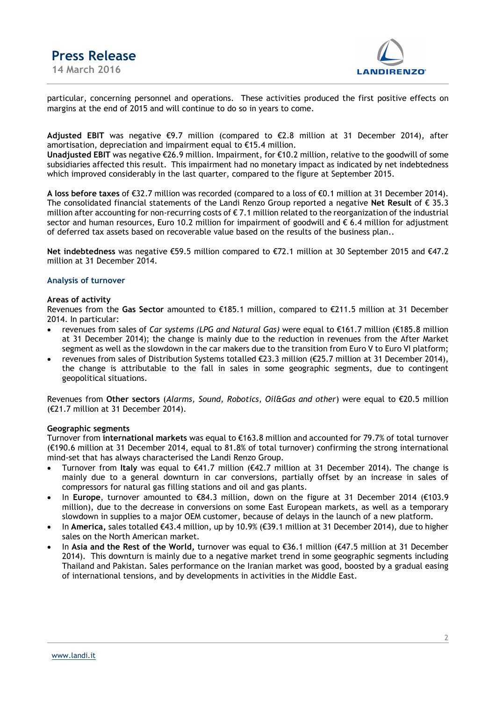



particular, concerning personnel and operations. These activities produced the first positive effects on margins at the end of 2015 and will continue to do so in years to come.

Adjusted EBIT was negative  $\epsilon$ 9.7 million (compared to  $\epsilon$ 2.8 million at 31 December 2014), after amortisation, depreciation and impairment equal to €15.4 million.

Unadjusted EBIT was negative €26.9 million. Impairment, for €10.2 million, relative to the goodwill of some subsidiaries affected this result. This impairment had no monetary impact as indicated by net indebtedness which improved considerably in the last quarter, compared to the figure at September 2015.

A loss before taxes of €32.7 million was recorded (compared to a loss of €0.1 million at 31 December 2014). The consolidated financial statements of the Landi Renzo Group reported a negative Net Result of € 35.3 million after accounting for non-recurring costs of  $\epsilon$  7.1 million related to the reorganization of the industrial sector and human resources, Euro 10.2 million for impairment of goodwill and  $\epsilon$  6.4 million for adjustment of deferred tax assets based on recoverable value based on the results of the business plan..

Net indebtedness was negative €59.5 million compared to €72.1 million at 30 September 2015 and €47.2 million at 31 December 2014.

### Analysis of turnover

#### Areas of activity

Revenues from the Gas Sector amounted to €185.1 million, compared to €211.5 million at 31 December 2014. In particular:

- revenues from sales of Car systems (LPG and Natural Gas) were equal to €161.7 million (€185.8 million at 31 December 2014); the change is mainly due to the reduction in revenues from the After Market segment as well as the slowdown in the car makers due to the transition from Euro V to Euro VI platform;
- revenues from sales of Distribution Systems totalled €23.3 million (€25.7 million at 31 December 2014), the change is attributable to the fall in sales in some geographic segments, due to contingent geopolitical situations.

Revenues from Other sectors (Alarms, Sound, Robotics, Oil&Gas and other) were equal to €20.5 million (€21.7 million at 31 December 2014).

### Geographic segments

Turnover from international markets was equal to €163.8 million and accounted for 79.7% of total turnover (€190.6 million at 31 December 2014, equal to 81.8% of total turnover) confirming the strong international mind-set that has always characterised the Landi Renzo Group.

- Turnover from Italy was equal to  $\epsilon$ 41.7 million ( $\epsilon$ 42.7 million at 31 December 2014). The change is mainly due to a general downturn in car conversions, partially offset by an increase in sales of compressors for natural gas filling stations and oil and gas plants.
- In Europe, turnover amounted to €84.3 million, down on the figure at 31 December 2014 (€103.9 million), due to the decrease in conversions on some East European markets, as well as a temporary slowdown in supplies to a major OEM customer, because of delays in the launch of a new platform.
- In America, sales totalled €43.4 million, up by 10.9% (€39.1 million at 31 December 2014), due to higher sales on the North American market.
- In Asia and the Rest of the World, turnover was equal to €36.1 million (€47.5 million at 31 December 2014). This downturn is mainly due to a negative market trend in some geographic segments including Thailand and Pakistan. Sales performance on the Iranian market was good, boosted by a gradual easing of international tensions, and by developments in activities in the Middle East.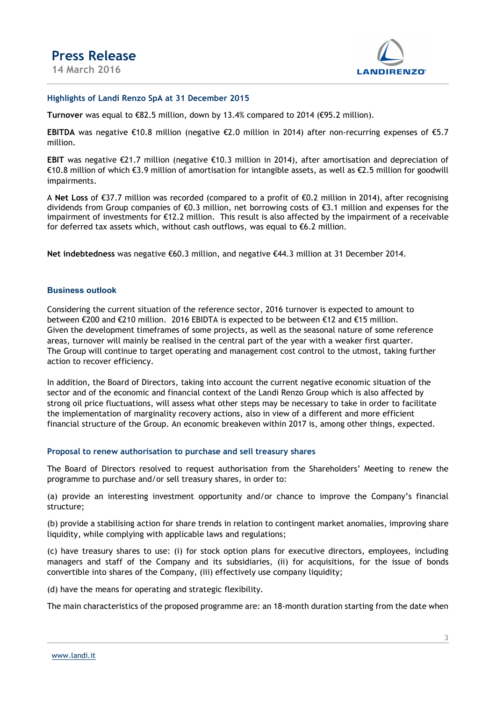

### Highlights of Landi Renzo SpA at 31 December 2015

Turnover was equal to  $\epsilon$ 82.5 million, down by 13.4% compared to 2014 ( $\epsilon$ 95.2 million).

EBITDA was negative €10.8 million (negative €2.0 million in 2014) after non-recurring expenses of €5.7 million.

EBIT was negative €21.7 million (negative €10.3 million in 2014), after amortisation and depreciation of €10.8 million of which €3.9 million of amortisation for intangible assets, as well as €2.5 million for goodwill impairments.

A Net Loss of €37.7 million was recorded (compared to a profit of €0.2 million in 2014), after recognising dividends from Group companies of €0.3 million, net borrowing costs of €3.1 million and expenses for the impairment of investments for €12.2 million. This result is also affected by the impairment of a receivable for deferred tax assets which, without cash outflows, was equal to  $\epsilon$ 6.2 million.

Net indebtedness was negative €60.3 million, and negative €44.3 million at 31 December 2014.

### Business outlook

Considering the current situation of the reference sector, 2016 turnover is expected to amount to between €200 and €210 million. 2016 EBIDTA is expected to be between €12 and €15 million. Given the development timeframes of some projects, as well as the seasonal nature of some reference areas, turnover will mainly be realised in the central part of the year with a weaker first quarter. The Group will continue to target operating and management cost control to the utmost, taking further action to recover efficiency.

In addition, the Board of Directors, taking into account the current negative economic situation of the sector and of the economic and financial context of the Landi Renzo Group which is also affected by strong oil price fluctuations, will assess what other steps may be necessary to take in order to facilitate the implementation of marginality recovery actions, also in view of a different and more efficient financial structure of the Group. An economic breakeven within 2017 is, among other things, expected.

### Proposal to renew authorisation to purchase and sell treasury shares

The Board of Directors resolved to request authorisation from the Shareholders' Meeting to renew the programme to purchase and/or sell treasury shares, in order to:

(a) provide an interesting investment opportunity and/or chance to improve the Company's financial structure;

(b) provide a stabilising action for share trends in relation to contingent market anomalies, improving share liquidity, while complying with applicable laws and regulations;

(c) have treasury shares to use: (i) for stock option plans for executive directors, employees, including managers and staff of the Company and its subsidiaries, (ii) for acquisitions, for the issue of bonds convertible into shares of the Company, (iii) effectively use company liquidity;

(d) have the means for operating and strategic flexibility.

The main characteristics of the proposed programme are: an 18-month duration starting from the date when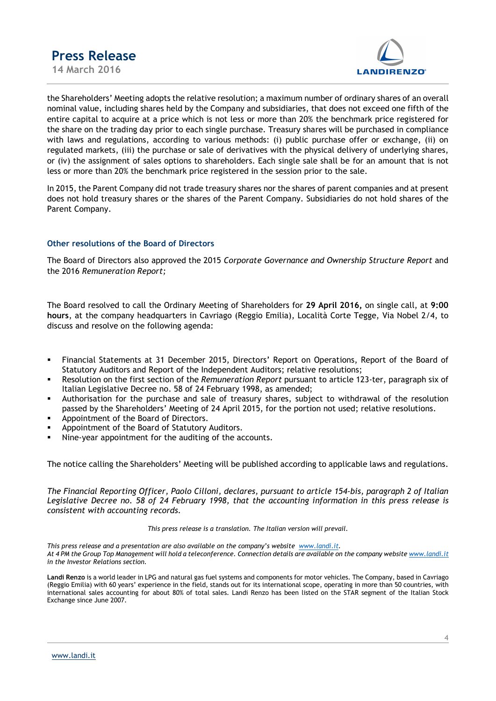

the Shareholders' Meeting adopts the relative resolution; a maximum number of ordinary shares of an overall nominal value, including shares held by the Company and subsidiaries, that does not exceed one fifth of the entire capital to acquire at a price which is not less or more than 20% the benchmark price registered for the share on the trading day prior to each single purchase. Treasury shares will be purchased in compliance with laws and regulations, according to various methods: (i) public purchase offer or exchange, (ii) on regulated markets, (iii) the purchase or sale of derivatives with the physical delivery of underlying shares, or (iv) the assignment of sales options to shareholders. Each single sale shall be for an amount that is not less or more than 20% the benchmark price registered in the session prior to the sale.

In 2015, the Parent Company did not trade treasury shares nor the shares of parent companies and at present does not hold treasury shares or the shares of the Parent Company. Subsidiaries do not hold shares of the Parent Company.

### Other resolutions of the Board of Directors

The Board of Directors also approved the 2015 Corporate Governance and Ownership Structure Report and the 2016 Remuneration Report;

The Board resolved to call the Ordinary Meeting of Shareholders for 29 April 2016, on single call, at 9:00 hours, at the company headquarters in Cavriago (Reggio Emilia), Località Corte Tegge, Via Nobel 2/4, to discuss and resolve on the following agenda:

- Financial Statements at 31 December 2015, Directors' Report on Operations, Report of the Board of Statutory Auditors and Report of the Independent Auditors; relative resolutions;
- Resolution on the first section of the Remuneration Report pursuant to article 123-ter, paragraph six of Italian Legislative Decree no. 58 of 24 February 1998, as amended;
- Authorisation for the purchase and sale of treasury shares, subject to withdrawal of the resolution passed by the Shareholders' Meeting of 24 April 2015, for the portion not used; relative resolutions.
- Appointment of the Board of Directors.
- Appointment of the Board of Statutory Auditors.
- Nine-year appointment for the auditing of the accounts.

The notice calling the Shareholders' Meeting will be published according to applicable laws and regulations.

The Financial Reporting Officer, Paolo Cilloni, declares, pursuant to article 154-bis, paragraph 2 of Italian Legislative Decree no. 58 of 24 February 1998, that the accounting information in this press release is consistent with accounting records.

This press release is a translation. The Italian version will prevail.

This press release and a presentation are also available on the company's website www.landi.it. At 4 PM the Group Top Management will hold a teleconference. Connection details are available on the company website www.landi.it in the Investor Relations section.

Landi Renzo is a world leader in LPG and natural gas fuel systems and components for motor vehicles. The Company, based in Cavriago (Reggio Emilia) with 60 years' experience in the field, stands out for its international scope, operating in more than 50 countries, with international sales accounting for about 80% of total sales. Landi Renzo has been listed on the STAR segment of the Italian Stock Exchange since June 2007.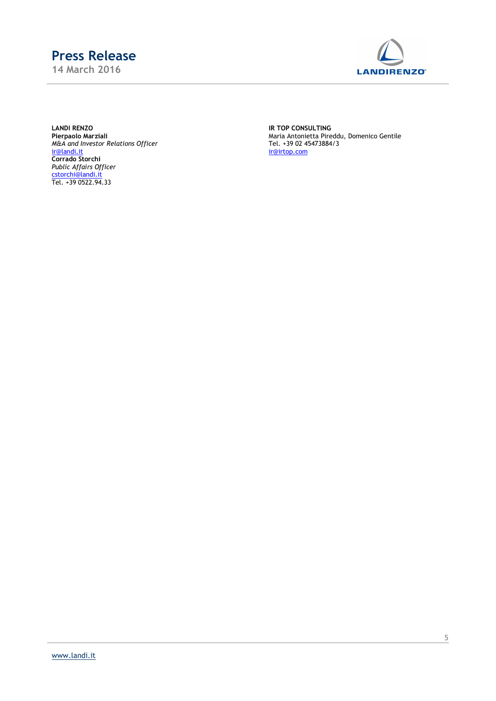14 March 2016



LANDI RENZO IR TOP CONSULTING **Pierpaolo Marziali<br>M&A and Investor Relations Officer<br>ir@landi.it** ir@landi.it ir@irtop.com Corrado Storchi Public Affairs Officer cstorchi@landi.it Tel. +39 0522.94.33

Pierpaolo Marziali Maria Antonietta Pireddu, Domenico Gentile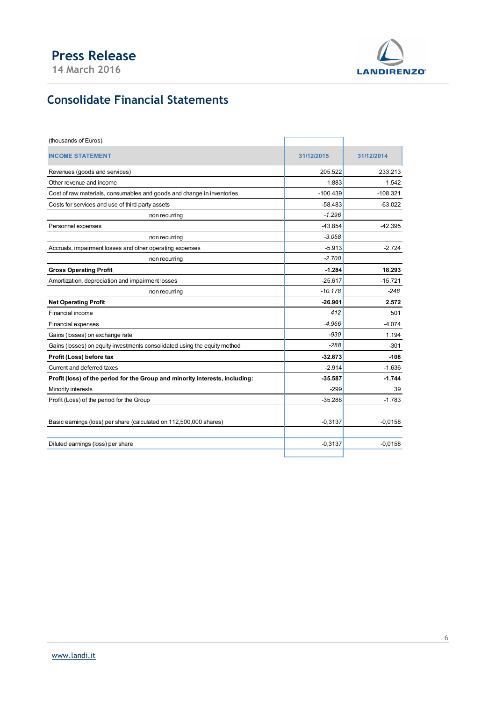

# Consolidate Financial Statements

| <b>Press Release</b><br>14 March 2016                                        |                  | <b>LANDIRENZO</b> |
|------------------------------------------------------------------------------|------------------|-------------------|
| <b>Consolidate Financial Statements</b>                                      |                  |                   |
| (thousands of Euros)                                                         |                  |                   |
| <b>INCOME STATEMENT</b>                                                      | 31/12/2015       | 31/12/2014        |
|                                                                              |                  |                   |
| Revenues (goods and services)<br>Other revenue and income                    | 205.522<br>1.883 | 233.213<br>1.542  |
| Cost of raw materials, consumables and goods and change in inventories       | $-100.439$       | $-108.321$        |
| Costs for services and use of third party assets                             | $-58.483$        | $-63.022$         |
| non recurring                                                                | $-1.296$         |                   |
| Personnel expenses                                                           | $-43.854$        | -42.395           |
| non recurring                                                                | $-3.058$         |                   |
| Accruals, impairment losses and other operating expenses                     | $-5.913$         | $-2.724$          |
| non recurring                                                                | $-2.700$         |                   |
| <b>Gross Operating Profit</b>                                                | $-1.284$         | 18.293            |
| Amortization, depreciation and impairment losses                             | $-25.617$        | $-15.721$         |
| non recurring                                                                | $-10.178$        | -248              |
| <b>Net Operating Profit</b>                                                  | $-26.901$        | 2.572             |
| Financial income                                                             | 412              | 501               |
| Financial expenses                                                           | $-4.966$         | $-4.074$          |
| Gains (losses) on exchange rate                                              | $-930$           | 1.194             |
| Gains (losses) on equity investments consolidated using the equity method    | $-288$           | $-301$            |
| Profit (Loss) before tax                                                     | $-32.673$        | $-108$            |
| Current and deferred taxes                                                   | $-2.914$         | $-1.636$          |
| Profit (loss) of the period for the Group and minority interests, including: | $-35.587$        | $-1.744$          |
| Minority interests                                                           | $-299$           | 39                |
| Profit (Loss) of the period for the Group                                    | $-35.288$        | $-1.783$          |
|                                                                              |                  |                   |
| Basic earnings (loss) per share (calculated on 112,500,000 shares)           | $-0,3137$        | $-0,0158$         |
|                                                                              |                  |                   |
| Diluted earnings (loss) per share                                            | $-0,3137$        | $-0,0158$         |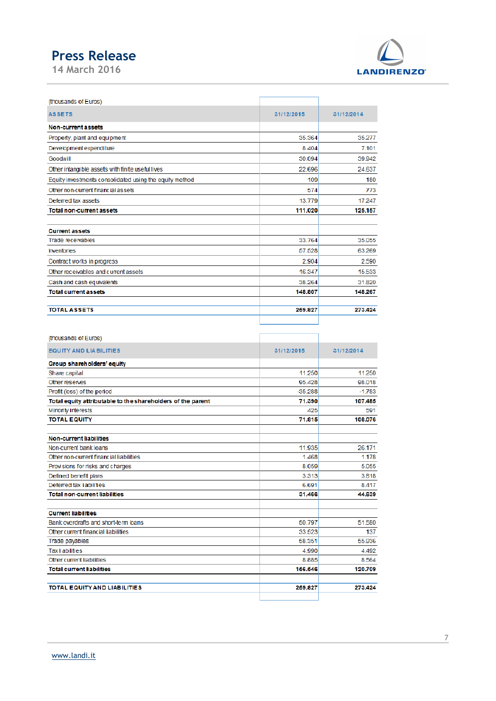

| (thousands of Euros)                                    |            |            |
|---------------------------------------------------------|------------|------------|
| <b>ASSETS</b>                                           | 31/12/2015 | 31/12/2014 |
| Non-current assets                                      |            |            |
| Property, plant and equipment                           | 35.364     | 35,277     |
| Development expenditure                                 | 8.404      | 7.101      |
| Goodwill                                                | 30.094     | 39.942     |
| Other intangible assets with finite useful lives        | 22.696     | 24.637     |
| Equity investments consolidated using the equity method | 109        | 180        |
| Other non-current financial assets                      | 574        | 773        |
| Deferred tax assets                                     | 13.779     | 17.247     |
| <b>Total non-current assets</b>                         | 111.020    | 125.157    |
| <b>Current assets</b>                                   |            |            |
| Trade receivables                                       | 33.764     | 35.055     |
| <b>Inventories</b>                                      | 57.528     | 63.269     |
| Contract works in progress                              | 2.904      | 2.590      |
| Other receivables and current assets                    | 16.347     | 15.533     |
| Cash and cash equivalents                               | 38.264     | 31.820     |
| <b>Total current assets</b>                             | 148.807    | 148.267    |
| <b>TOTAL ASSETS</b>                                     | 259.827    | 273.424    |
|                                                         |            |            |

| (thousands of Euros)                                        |            |            |
|-------------------------------------------------------------|------------|------------|
| <b>EQUITY AND LIABILITIES</b>                               | 31/12/2015 | 31/12/2014 |
| Group shareholders' equity                                  |            |            |
| Share capital                                               | 11.250     | 11.250     |
| Other reserves                                              | 95.428     | 98.018     |
| Profit (loss) of the period                                 | $-35.288$  | $-1.783$   |
| Total equity attributable to the shareholders of the parent | 71.390     | 107.485    |
| Minority interests                                          | 425        | 591        |
| <b>TOTAL EQUITY</b>                                         | 71.815     | 108.076    |
| Non-current liabilities                                     |            |            |
| Non-current bank loans                                      | 11.935     | 26.171     |
| Other non-current financial liabilities                     | 1468       | 1178       |
| Provisions for risks and charges                            | 8.059      | 5.055      |
| Defined benefit plans                                       | 3.313      | 3.818      |
| Deferred tax liabilities                                    | 6.691      | 8.417      |
| <b>Total non-current liabilities</b>                        | 31.466     | 44.639     |
| <b>Current liabilities</b>                                  |            |            |
| Bank overdrafts and short-term loans                        | 50.797     | 51.580     |
| Other current financial liabilities                         | 33.523     | 137        |
| Trade payables                                              | 58.351     | 55.936     |
| <b>Tax li abilities</b>                                     | 4.990      | 4.492      |
| Other current liabilities                                   | 8.885      | 8.564      |
| <b>Total current liabilities</b>                            | 156.546    | 120.709    |
| <b>TOTAL EQUITY AND LIABILITIES</b>                         | 259.827    | 273.424    |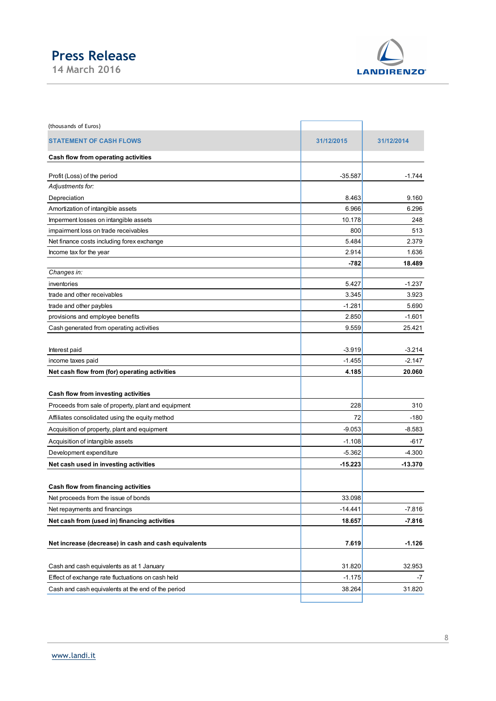

| <b>Press Release</b><br>14 March 2016                            |                       |                       |
|------------------------------------------------------------------|-----------------------|-----------------------|
|                                                                  |                       |                       |
|                                                                  |                       |                       |
|                                                                  |                       | <b>LANDIRENZO®</b>    |
|                                                                  |                       |                       |
|                                                                  |                       |                       |
| (thousands of Euros)                                             |                       |                       |
| <b>STATEMENT OF CASH FLOWS</b>                                   | 31/12/2015            | 31/12/2014            |
| Cash flow from operating activities                              |                       |                       |
|                                                                  |                       |                       |
| Profit (Loss) of the period<br>Adjustments for:                  | $-35.587$             | $-1.744$              |
| Depreciation                                                     | 8.463                 | 9.160                 |
| Amortization of intangible assets                                | 6.966                 | 6.296                 |
| Imperment losses on intangible assets                            | 10.178                | 248                   |
| impairment loss on trade receivables                             | 800                   | 513                   |
| Net finance costs including forex exchange                       | 5.484                 | 2.379                 |
| Income tax for the year                                          | 2.914<br>$-782$       | 1.636<br>18.489       |
| Changes in:                                                      |                       |                       |
| inventories                                                      | 5.427                 | $-1.237$              |
| trade and other receivables                                      | 3.345                 | 3.923                 |
| trade and other paybles                                          | $-1.281$              | 5.690                 |
| provisions and employee benefits                                 | 2.850                 | $-1.601$              |
| Cash generated from operating activities                         | 9.559                 | 25.421                |
| Interest paid                                                    | $-3.919$              | $-3.214$              |
| income taxes paid                                                | $-1.455$              | $-2.147$              |
| Net cash flow from (for) operating activities                    | 4.185                 | 20.060                |
|                                                                  |                       |                       |
| Cash flow from investing activities                              |                       |                       |
| Proceeds from sale of property, plant and equipment              | 228                   | 310                   |
| Affiliates consolidated using the equity method                  | 72                    | $-180$                |
| Acquisition of property, plant and equipment                     | $-9.053$              | $-8.583$              |
| Acquisition of intangible assets                                 | $-1.108$              | $-617$                |
| Development expenditure<br>Net cash used in investing activities | $-5.362$<br>$-15.223$ | $-4.300$<br>$-13.370$ |
|                                                                  |                       |                       |
| Cash flow from financing activities                              |                       |                       |
| Net proceeds from the issue of bonds                             | 33.098                |                       |
| Net repayments and financings                                    | $-14.441$             | $-7.816$              |
| Net cash from (used in) financing activities                     | 18.657                | $-7.816$              |
|                                                                  |                       |                       |
| Net increase (decrease) in cash and cash equivalents             | 7.619                 | $-1.126$              |
| Cash and cash equivalents as at 1 January                        | 31.820                |                       |
| Effect of exchange rate fluctuations on cash held                | $-1.175$              | 32.953<br>$-7$        |
|                                                                  | 38.264                |                       |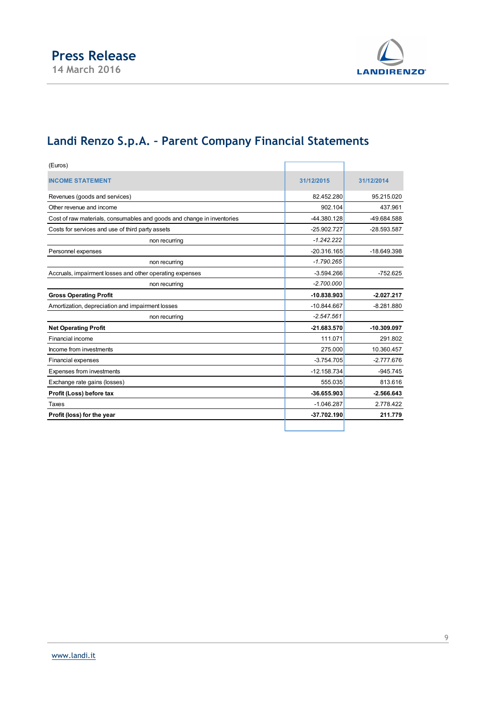

## Landi Renzo S.p.A. – Parent Company Financial Statements

| (Euros)                                                                |               |               |
|------------------------------------------------------------------------|---------------|---------------|
| <b>INCOME STATEMENT</b>                                                | 31/12/2015    | 31/12/2014    |
| Revenues (goods and services)                                          | 82.452.280    | 95.215.020    |
| Other revenue and income                                               | 902.104       | 437.961       |
| Cost of raw materials, consumables and goods and change in inventories | -44.380.128   | -49.684.588   |
| Costs for services and use of third party assets                       | -25.902.727   | -28.593.587   |
| non recurring                                                          | $-1.242.222$  |               |
| Personnel expenses                                                     | $-20.316.165$ | $-18.649.398$ |
| non recurring                                                          | $-1.790.265$  |               |
| Accruals, impairment losses and other operating expenses               | $-3.594.266$  | $-752.625$    |
| non recurring                                                          | $-2.700.000$  |               |
| <b>Gross Operating Profit</b>                                          | $-10.838.903$ | $-2.027.217$  |
| Amortization, depreciation and impairment losses                       | $-10.844.667$ | $-8.281.880$  |
| non recurring                                                          | $-2.547.561$  |               |
| <b>Net Operating Profit</b>                                            | $-21.683.570$ | $-10.309.097$ |
| Financial income                                                       | 111.071       | 291.802       |
| Income from investments                                                | 275.000       | 10.360.457    |
| <b>Financial expenses</b>                                              | $-3.754.705$  | $-2.777.676$  |
| Expenses from investments                                              | $-12.158.734$ | $-945.745$    |
| Exchange rate gains (losses)                                           | 555.035       | 813.616       |
| Profit (Loss) before tax                                               | $-36.655.903$ | $-2.566.643$  |
| Taxes                                                                  | $-1.046.287$  | 2.778.422     |
| Profit (loss) for the year                                             | -37.702.190   | 211.779       |
|                                                                        |               |               |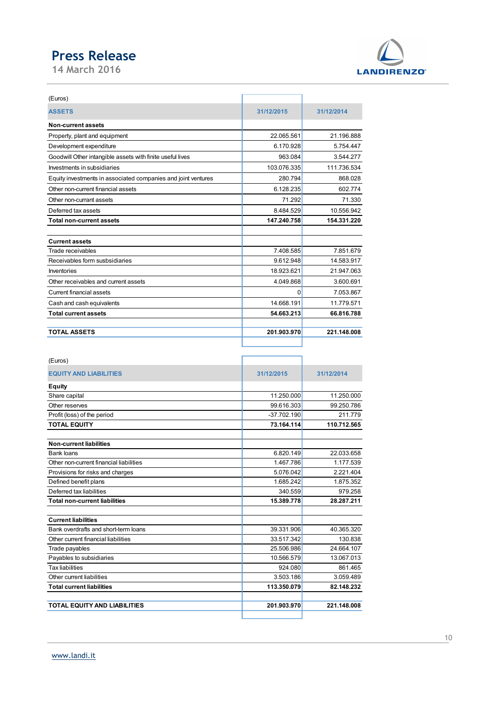

| <b>Press Release</b>                                                                     |                          |                          |
|------------------------------------------------------------------------------------------|--------------------------|--------------------------|
| 14 March 2016                                                                            |                          | <b>LANDIRENZO</b>        |
|                                                                                          |                          |                          |
| (Euros)                                                                                  |                          |                          |
|                                                                                          |                          |                          |
| <b>ASSETS</b>                                                                            | 31/12/2015               | 31/12/2014               |
| Non-current assets                                                                       |                          |                          |
| Property, plant and equipment                                                            | 22.065.561               | 21.196.888               |
| Development expenditure                                                                  | 6.170.928                | 5.754.447                |
| Goodwill Other intangible assets with finite useful lives<br>Investments in subsidiaries | 963.084<br>103.076.335   | 3.544.277                |
| Equity investments in associated companies and joint ventures                            | 280.794                  | 111.736.534<br>868.028   |
| Other non-current financial assets                                                       | 6.128.235                | 602.774                  |
| Other non-currant assets                                                                 | 71.292                   | 71.330                   |
| Deferred tax assets                                                                      | 8.484.529                | 10.556.942               |
| <b>Total non-current assets</b>                                                          | 147.240.758              | 154.331.220              |
|                                                                                          |                          |                          |
| <b>Current assets</b>                                                                    |                          |                          |
| Trade receivables                                                                        | 7.408.585                | 7.851.679                |
| Receivables form susbsidiaries                                                           | 9.612.948                | 14.583.917               |
| Inventories<br>Other receivables and current assets                                      | 18.923.621               | 21.947.063<br>3.600.691  |
| Current financial assets                                                                 | 4.049.868<br> 0          | 7.053.867                |
| Cash and cash equivalents                                                                | 14.668.191               | 11.779.571               |
| <b>Total current assets</b>                                                              | 54.663.213               | 66.816.788               |
|                                                                                          |                          |                          |
| <b>TOTAL ASSETS</b>                                                                      | 201.903.970              | 221.148.008              |
|                                                                                          |                          |                          |
| (Euros)                                                                                  |                          |                          |
|                                                                                          |                          |                          |
| <b>EQUITY AND LIABILITIES</b>                                                            | 31/12/2015               | 31/12/2014               |
| Equity                                                                                   |                          |                          |
| Share capital<br>Other reserves                                                          | 11.250.000<br>99.616.303 | 11.250.000<br>99.250.786 |
| Profit (loss) of the period                                                              | $-37.702.190$            | 211.779                  |
| <b>TOTAL EQUITY</b>                                                                      | 73.164.114               | 110.712.565              |
|                                                                                          |                          |                          |
| <b>Non-current liabilities</b>                                                           |                          |                          |
| <b>Bank loans</b><br>Other non-current financial liabilities                             | 6.820.149<br>1.467.786   | 22.033.658<br>1.177.539  |
| Provisions for risks and charges                                                         | 5.076.042                | 2.221.404                |
|                                                                                          |                          |                          |

| <b>Current assets</b>                   |               |             |
|-----------------------------------------|---------------|-------------|
| Trade receivables                       | 7.408.585     | 7.851.679   |
| Receivables form susbsidiaries          | 9.612.948     | 14.583.917  |
| Inventories                             | 18.923.621    | 21.947.063  |
| Other receivables and current assets    | 4.049.868     | 3.600.691   |
| Current financial assets                | 0             | 7.053.867   |
| Cash and cash equivalents               | 14.668.191    | 11.779.571  |
| <b>Total current assets</b>             | 54.663.213    | 66.816.788  |
|                                         |               |             |
| <b>TOTAL ASSETS</b>                     | 201.903.970   | 221.148.008 |
|                                         |               |             |
|                                         |               |             |
| (Euros)                                 |               |             |
| <b>EQUITY AND LIABILITIES</b>           | 31/12/2015    | 31/12/2014  |
|                                         |               |             |
| <b>Equity</b>                           |               |             |
| Share capital                           | 11.250.000    | 11.250.000  |
| Other reserves                          | 99.616.303    | 99.250.786  |
| Profit (loss) of the period             | $-37.702.190$ | 211.779     |
| <b>TOTAL EQUITY</b>                     | 73.164.114    | 110.712.565 |
| <b>Non-current liabilities</b>          |               |             |
| Bank loans                              | 6.820.149     | 22.033.658  |
| Other non-current financial liabilities | 1.467.786     | 1.177.539   |
| Provisions for risks and charges        | 5.076.042     | 2.221.404   |
| Defined benefit plans                   | 1.685.242     | 1.875.352   |
| Deferred tax liabilities                | 340.559       | 979.258     |
| <b>Total non-current liabilities</b>    | 15.389.778    | 28.287.211  |
|                                         |               |             |
| <b>Current liabilities</b>              |               |             |
| Bank overdrafts and short-term loans    | 39.331.906    | 40.365.320  |
| Other current financial liabilities     | 33.517.342    | 130.838     |
| Trade payables                          | 25.506.986    | 24.664.107  |
| Payables to subsidiaries                | 10.566.579    | 13.067.013  |
| <b>Tax liabilities</b>                  | 924.080       | 861.465     |
| Other current liabilities               | 3.503.186     | 3.059.489   |
| <b>Total current liabilities</b>        | 113.350.079   | 82.148.232  |
|                                         |               |             |
| TOTAL EQUITY AND LIABILITIES            | 201.903.970   | 221.148.008 |
|                                         |               |             |
|                                         |               |             |
|                                         |               |             |
|                                         |               |             |
| www.landi.it                            |               |             |